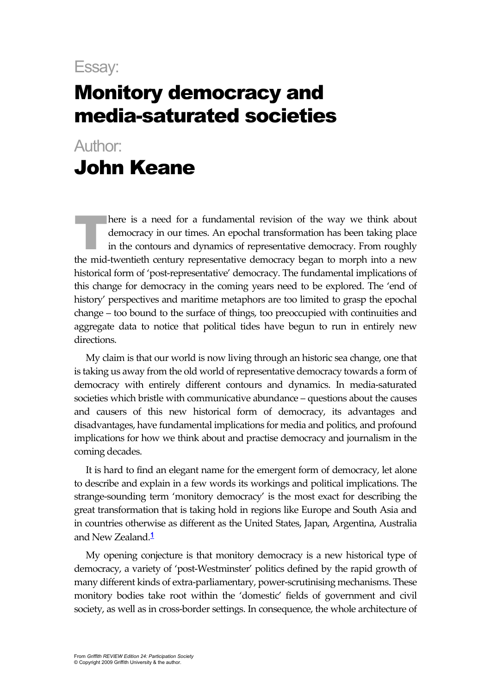## Essay:

## Monitory democracy and media-saturated societies

## Author: John Keane

here is a need for a fundamental revision of the way we think about democracy in our times. An epochal transformation has been taking place in the contours and dynamics of representative democracy. From roughly There is a need for a fundamental revision of the way we think about democracy in our times. An epochal transformation has been taking place in the contours and dynamics of representative democracy. From roughly the mid-tw historical form of 'post-representative' democracy. The fundamental implications of this change for democracy in the coming years need to be explored. The 'end of history' perspectives and maritime metaphors are too limited to grasp the epochal change – too bound to the surface of things, too preoccupied with continuities and aggregate data to notice that political tides have begun to run in entirely new directions.

My claim is that our world is now living through an historic sea change, one that is taking us away from the old world of representative democracy towards a form of democracy with entirely different contours and dynamics. In media-saturated societies which bristle with communicative abundance – questions about the causes and causers of this new historical form of democracy, its advantages and disadvantages, have fundamental implications for media and politics, and profound implications for how we think about and practise democracy and journalism in the coming decades.

It is hard to find an elegant name for the emergent form of democracy, let alone to describe and explain in a few words its workings and political implications. The strange-sounding term 'monitory democracy' is the most exact for describing the great transformation that is taking hold in regions like Europe and South Asia and in countries otherwise as different as the United States, Japan, Argentina, Australia and New Zealand.**[1](#page-21-0)**!!

My opening conjecture is that monitory democracy is a new historical type of democracy, a variety of 'post-Westminster' politics defined by the rapid growth of many different kinds of extra-parliamentary, power-scrutinising mechanisms. These monitory bodies take root within the 'domestic' fields of government and civil society, as well as in cross-border settings. In consequence, the whole architecture of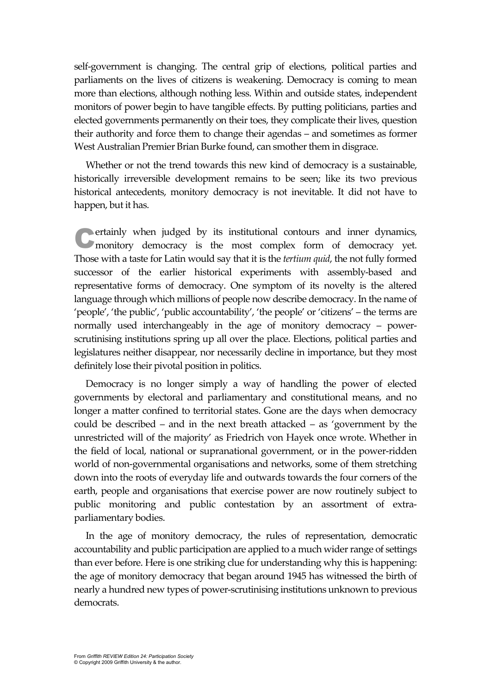self-government is changing. The central grip of elections, political parties and parliaments on the lives of citizens is weakening. Democracy is coming to mean more than elections, although nothing less. Within and outside states, independent monitors of power begin to have tangible effects. By putting politicians, parties and elected governments permanently on their toes, they complicate their lives, question their authority and force them to change their agendas – and sometimes as former West Australian Premier Brian Burke found, can smother them in disgrace.

Whether or not the trend towards this new kind of democracy is a sustainable, historically irreversible development remains to be seen; like its two previous historical antecedents, monitory democracy is not inevitable. It did not have to happen, but it has.

ertainly when judged by its institutional contours and inner dynamics, **C** ertainly when judged by its institutional contours and inner dynamics, monitory democracy is the most complex form of democracy yet. Those with a taste for Latin would say that it is the *tertium quid*, the not fully formed successor of the earlier historical experiments with assembly-based and representative forms of democracy. One symptom of its novelty is the altered language through which millions of people now describe democracy. In the name of 'people', 'the public', 'public accountability', 'the people' or 'citizens' – the terms are normally used interchangeably in the age of monitory democracy  $-$  powerscrutinising institutions spring up all over the place. Elections, political parties and legislatures neither disappear, nor necessarily decline in importance, but they most definitely lose their pivotal position in politics.

Democracy is no longer simply a way of handling the power of elected governments by electoral and parliamentary and constitutional means, and no longer a matter confined to territorial states. Gone are the days when democracy could be described – and in the next breath attacked – as 'government by the unrestricted will of the majority' as Friedrich von Hayek once wrote. Whether in the field of local, national or supranational government, or in the power-ridden world of non-governmental organisations and networks, some of them stretching down into the roots of everyday life and outwards towards the four corners of the earth, people and organisations that exercise power are now routinely subject to public monitoring and public contestation by an assortment of extraparliamentary bodies.

In the age of monitory democracy, the rules of representation, democratic accountability and public participation are applied to a much wider range of settings than ever before. Here is one striking clue for understanding why this is happening: the age of monitory democracy that began around 1945 has witnessed the birth of nearly a hundred new types of power-scrutinising institutions unknown to previous democrats.!!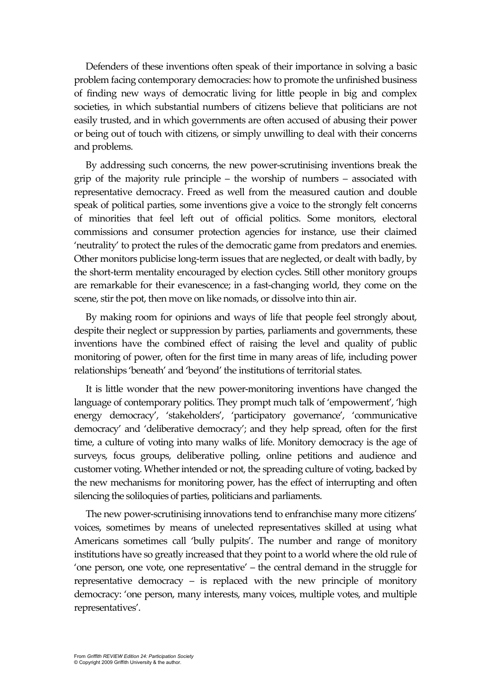Defenders of these inventions often speak of their importance in solving a basic problem facing contemporary democracies: how to promote the unfinished business of finding new ways of democratic living for little people in big and complex societies, in which substantial numbers of citizens believe that politicians are not easily trusted, and in which governments are often accused of abusing their power or being out of touch with citizens, or simply unwilling to deal with their concerns and problems.

By addressing such concerns, the new power-scrutinising inventions break the grip of the majority rule principle – the worship of numbers – associated with representative democracy. Freed as well from the measured caution and double speak of political parties, some inventions give a voice to the strongly felt concerns of minorities that feel left out of official politics. Some monitors, electoral commissions and consumer protection agencies for instance, use their claimed 'neutrality' to protect the rules of the democratic game from predators and enemies. Other monitors publicise long-term issues that are neglected, or dealt with badly, by the short-term mentality encouraged by election cycles. Still other monitory groups are remarkable for their evanescence; in a fast-changing world, they come on the scene, stir the pot, then move on like nomads, or dissolve into thin air.

By making room for opinions and ways of life that people feel strongly about, despite their neglect or suppression by parties, parliaments and governments, these inventions have the combined effect of raising the level and quality of public monitoring of power, often for the first time in many areas of life, including power relationships 'beneath' and 'beyond' the institutions of territorial states.!!

It is little wonder that the new power-monitoring inventions have changed the language of contemporary politics. They prompt much talk of 'empowerment', 'high energy democracy', 'stakeholders', 'participatory governance', 'communicative democracy' and 'deliberative democracy'; and they help spread, often for the first time, a culture of voting into many walks of life. Monitory democracy is the age of surveys, focus groups, deliberative polling, online petitions and audience and customer voting. Whether intended or not, the spreading culture of voting, backed by the new mechanisms for monitoring power, has the effect of interrupting and often silencing the soliloquies of parties, politicians and parliaments.

The new power-scrutinising innovations tend to enfranchise many more citizens' voices, sometimes by means of unelected representatives skilled at using what Americans sometimes call 'bully pulpits'. The number and range of monitory institutions have so greatly increased that they point to a world where the old rule of 'one person, one vote, one representative' – the central demand in the struggle for representative democracy – is replaced with the new principle of monitory democracy: 'one person, many interests, many voices, multiple votes, and multiple representatives'.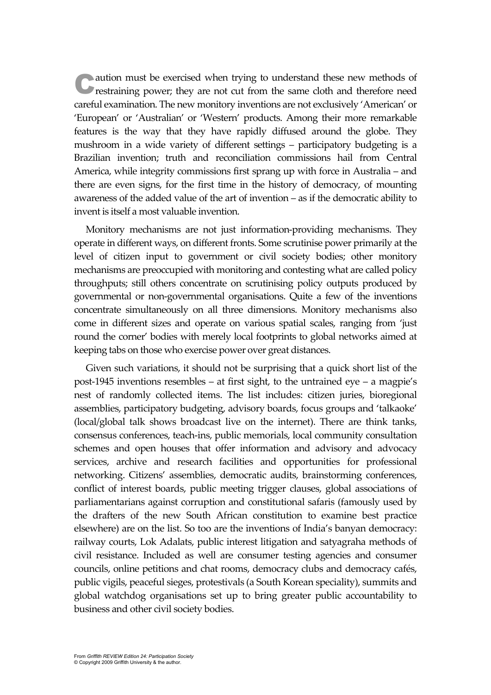**C** aution must be exercised when trying to understand these new methods of restraining power; they are not cut from the same cloth and therefore need restraining power; they are not cut from the same cloth and therefore need careful examination. The new monitory inventions are not exclusively 'American' or 'European' or 'Australian' or 'Western' products. Among their more remarkable features is the way that they have rapidly diffused around the globe. They mushroom in a wide variety of different settings – participatory budgeting is a Brazilian invention; truth and reconciliation commissions hail from Central America, while integrity commissions first sprang up with force in Australia – and there are even signs, for the first time in the history of democracy, of mounting awareness of the added value of the art of invention – as if the democratic ability to invent is itself a most valuable invention.

Monitory mechanisms are not just information-providing mechanisms. They operate in different ways, on different fronts. Some scrutinise power primarily at the level of citizen input to government or civil society bodies; other monitory mechanisms are preoccupied with monitoring and contesting what are called policy throughputs; still others concentrate on scrutinising policy outputs produced by governmental or non-governmental organisations. Quite a few of the inventions concentrate simultaneously on all three dimensions. Monitory mechanisms also come in different sizes and operate on various spatial scales, ranging from 'just round the corner' bodies with merely local footprints to global networks aimed at keeping tabs on those who exercise power over great distances.

Given such variations, it should not be surprising that a quick short list of the post"1945 inventions resembles – at first sight, to the untrained eye – a magpie's nest of randomly collected items. The list includes: citizen juries, bioregional assemblies, participatory budgeting, advisory boards, focus groups and 'talkaoke' (local/global talk shows broadcast live on the internet). There are think tanks, consensus conferences, teach-ins, public memorials, local community consultation schemes and open houses that offer information and advisory and advocacy services, archive and research facilities and opportunities for professional networking. Citizens' assemblies, democratic audits, brainstorming conferences, conflict of interest boards, public meeting trigger clauses, global associations of parliamentarians against corruption and constitutional safaris (famously used by the drafters of the new South African constitution to examine best practice elsewhere) are on the list. So too are the inventions of India's banyan democracy: railway courts, Lok Adalats, public interest litigation and satyagraha methods of civil resistance. Included as well are consumer testing agencies and consumer councils, online petitions and chat rooms, democracy clubs and democracy cafés, public vigils, peaceful sieges, protestivals (a South Korean speciality), summits and global watchdog organisations set up to bring greater public accountability to business and other civil society bodies.!!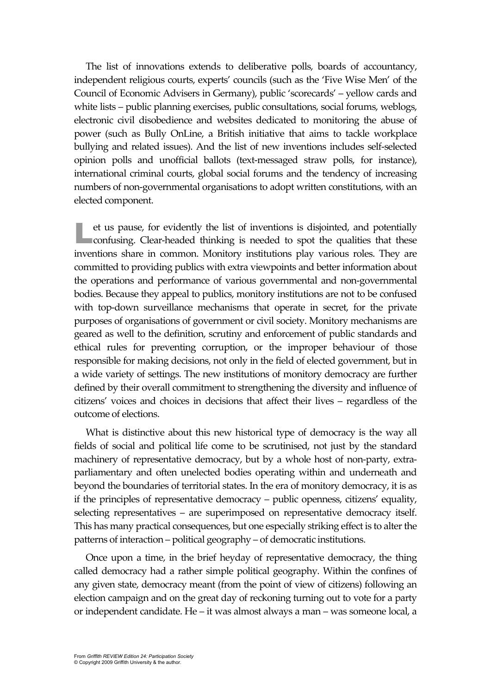The list of innovations extends to deliberative polls, boards of accountancy, independent religious courts, experts' councils (such as the 'Five Wise Men' of the Council of Economic Advisers in Germany), public 'scorecards' – yellow cards and white lists – public planning exercises, public consultations, social forums, weblogs, electronic civil disobedience and websites dedicated to monitoring the abuse of power (such as Bully OnLine, a British initiative that aims to tackle workplace bullying and related issues). And the list of new inventions includes self-selected opinion polls and unofficial ballots (text-messaged straw polls, for instance), international criminal courts, global social forums and the tendency of increasing numbers of non-governmental organisations to adopt written constitutions, with an elected component.

et us pause, for evidently the list of inventions is disjointed, and potentially et us pause, for evidently the list of inventions is disjointed, and potentially confusing. Clear-headed thinking is needed to spot the qualities that these inventions share in common. Monitory institutions play various roles. They are committed to providing publics with extra viewpoints and better information about the operations and performance of various governmental and non-governmental bodies. Because they appeal to publics, monitory institutions are not to be confused with top-down surveillance mechanisms that operate in secret, for the private purposes of organisations of government or civil society. Monitory mechanisms are geared as well to the definition, scrutiny and enforcement of public standards and ethical rules for preventing corruption, or the improper behaviour of those responsible for making decisions, not only in the field of elected government, but in a wide variety of settings. The new institutions of monitory democracy are further defined by their overall commitment to strengthening the diversity and influence of citizens' voices and choices in decisions that affect their lives – regardless of the outcome of elections.!!

What is distinctive about this new historical type of democracy is the way all fields of social and political life come to be scrutinised, not just by the standard machinery of representative democracy, but by a whole host of non-party, extraparliamentary and often unelected bodies operating within and underneath and beyond the boundaries of territorial states. In the era of monitory democracy, it is as if the principles of representative democracy – public openness, citizens' equality, selecting representatives – are superimposed on representative democracy itself. This has many practical consequences, but one especially striking effect is to alter the patterns of interaction – political geography – of democratic institutions.!!

Once upon a time, in the brief heyday of representative democracy, the thing called democracy had a rather simple political geography. Within the confines of any given state, democracy meant (from the point of view of citizens) following an election campaign and on the great day of reckoning turning out to vote for a party or independent candidate. He – it was almost always a man – was someone local, a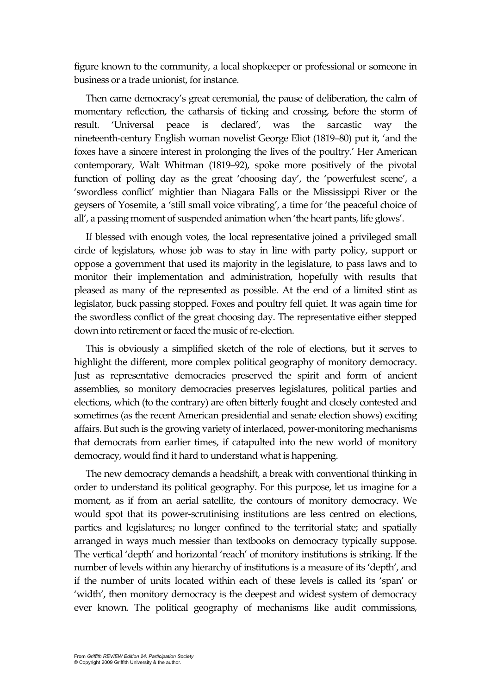figure known to the community, a local shopkeeper or professional or someone in business or a trade unionist, for instance.

Then came democracy's great ceremonial, the pause of deliberation, the calm of momentary reflection, the catharsis of ticking and crossing, before the storm of result. 'Universal peace is declared', was the sarcastic way the nineteenth-century English woman novelist George Eliot (1819–80) put it, 'and the foxes have a sincere interest in prolonging the lives of the poultry.' Her American contemporary, Walt Whitman (1819–92), spoke more positively of the pivotal function of polling day as the great 'choosing day', the 'powerfulest scene', a 'swordless conflict' mightier than Niagara Falls or the Mississippi River or the geysers of Yosemite, a 'still small voice vibrating', a time for 'the peaceful choice of all', a passing moment of suspended animation when 'the heart pants, life glows'.

If blessed with enough votes, the local representative joined a privileged small circle of legislators, whose job was to stay in line with party policy, support or oppose a government that used its majority in the legislature, to pass laws and to monitor their implementation and administration, hopefully with results that pleased as many of the represented as possible. At the end of a limited stint as legislator, buck passing stopped. Foxes and poultry fell quiet. It was again time for the swordless conflict of the great choosing day. The representative either stepped down into retirement or faced the music of re-election.

This is obviously a simplified sketch of the role of elections, but it serves to highlight the different, more complex political geography of monitory democracy. Just as representative democracies preserved the spirit and form of ancient assemblies, so monitory democracies preserves legislatures, political parties and elections, which (to the contrary) are often bitterly fought and closely contested and sometimes (as the recent American presidential and senate election shows) exciting affairs. But such is the growing variety of interlaced, power-monitoring mechanisms that democrats from earlier times, if catapulted into the new world of monitory democracy, would find it hard to understand what is happening.

The new democracy demands a headshift, a break with conventional thinking in order to understand its political geography. For this purpose, let us imagine for a moment, as if from an aerial satellite, the contours of monitory democracy. We would spot that its power-scrutinising institutions are less centred on elections, parties and legislatures; no longer confined to the territorial state; and spatially arranged in ways much messier than textbooks on democracy typically suppose. The vertical 'depth' and horizontal 'reach' of monitory institutions is striking. If the number of levels within any hierarchy of institutions is a measure of its 'depth', and if the number of units located within each of these levels is called its 'span' or 'width', then monitory democracy is the deepest and widest system of democracy ever known. The political geography of mechanisms like audit commissions,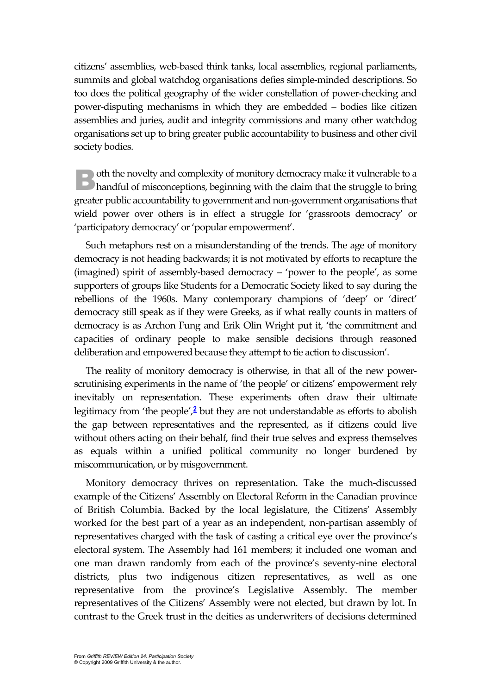citizens' assemblies, web-based think tanks, local assemblies, regional parliaments, summits and global watchdog organisations defies simple-minded descriptions. So too does the political geography of the wider constellation of power-checking and power-disputing mechanisms in which they are embedded – bodies like citizen assemblies and juries, audit and integrity commissions and many other watchdog organisations set up to bring greater public accountability to business and other civil society bodies.

oth the novelty and complexity of monitory democracy make it vulnerable to a B $\Box$  handful of misconceptions, beginning with the claim that the struggle to bring greater public accountability to government and non-government organisations that wield power over others is in effect a struggle for 'grassroots democracy' or 'participatory democracy' or'popular empowerment'.

Such metaphors rest on a misunderstanding of the trends. The age of monitory democracy is not heading backwards; it is not motivated by efforts to recapture the (imagined) spirit of assembly-based democracy  $-$  'power to the people', as some supporters of groups like Students for a Democratic Society liked to say during the rebellions of the 1960s. Many contemporary champions of 'deep' or 'direct' democracy still speak as if they were Greeks, as if what really counts in matters of democracy is as Archon Fung and Erik Olin Wright put it, 'the commitment and capacities of ordinary people to make sensible decisions through reasoned deliberation and empowered because they attempt to tie action to discussion'.

The reality of monitory democracy is otherwise, in that all of the new powerscrutinising experiments in the name of 'the people' or citizens' empowerment rely inevitably on representation. These experiments often draw their ultimate legitimacy from 'the people',**[2](#page-21-1)** but they are not understandable as efforts to abolish the gap between representatives and the represented, as if citizens could live without others acting on their behalf, find their true selves and express themselves as equals within a unified political community no longer burdened by miscommunication, or by misgovernment.

Monitory democracy thrives on representation. Take the much-discussed example of the Citizens' Assembly on Electoral Reform in the Canadian province of British Columbia. Backed by the local legislature, the Citizens' Assembly worked for the best part of a year as an independent, non-partisan assembly of representatives charged with the task of casting a critical eye over the province's electoral system. The Assembly had 161 members; it included one woman and one man drawn randomly from each of the province's seventy-nine electoral districts, plus two indigenous citizen representatives, as well as one representative from the province's Legislative Assembly. The member representatives of the Citizens' Assembly were not elected, but drawn by lot. In contrast to the Greek trust in the deities as underwriters of decisions determined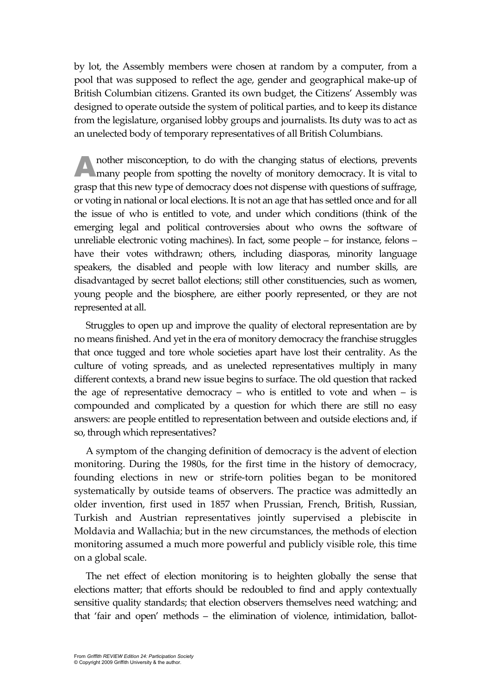by lot, the Assembly members were chosen at random by a computer, from a pool that was supposed to reflect the age, gender and geographical make-up of British Columbian citizens. Granted its own budget, the Citizens' Assembly was designed to operate outside the system of political parties, and to keep its distance from the legislature, organised lobby groups and journalists. Its duty was to act as an unelected body of temporary representatives of all British Columbians.

nother misconception, to do with the changing status of elections, prevents many people from spotting the novelty of monitory democracy. It is vital to grasp that this new type of democracy does not dispense with questions of suffrage, or voting in national or local elections. It is not an age that has settled once and for all the issue of who is entitled to vote, and under which conditions (think of the emerging legal and political controversies about who owns the software of unreliable electronic voting machines). In fact, some people – for instance, felons – have their votes withdrawn; others, including diasporas, minority language speakers, the disabled and people with low literacy and number skills, are disadvantaged by secret ballot elections; still other constituencies, such as women, young people and the biosphere, are either poorly represented, or they are not represented at all. A

Struggles to open up and improve the quality of electoral representation are by no means finished. And yet in the era of monitory democracy the franchise struggles that once tugged and tore whole societies apart have lost their centrality. As the culture of voting spreads, and as unelected representatives multiply in many different contexts, a brand new issue begins to surface. The old question that racked the age of representative democracy – who is entitled to vote and when – is compounded and complicated by a question for which there are still no easy answers: are people entitled to representation between and outside elections and, if so, through which representatives?

A symptom of the changing definition of democracy is the advent of election monitoring. During the 1980s, for the first time in the history of democracy, founding elections in new or strife-torn polities began to be monitored systematically by outside teams of observers. The practice was admittedly an older invention, first used in 1857 when Prussian, French, British, Russian, Turkish and Austrian representatives jointly supervised a plebiscite in Moldavia and Wallachia; but in the new circumstances, the methods of election monitoring assumed a much more powerful and publicly visible role, this time on a global scale.

The net effect of election monitoring is to heighten globally the sense that elections matter; that efforts should be redoubled to find and apply contextually sensitive quality standards; that election observers themselves need watching; and that 'fair and open' methods – the elimination of violence, intimidation, ballot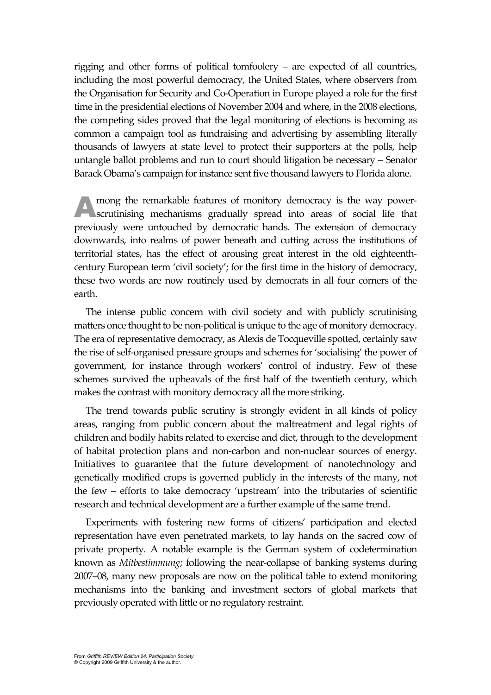rigging and other forms of political tomfoolery – are expected of all countries, including the most powerful democracy, the United States, where observers from the Organisation for Security and Co-Operation in Europe played a role for the first time in the presidential elections of November 2004 and where, in the 2008 elections, the competing sides proved that the legal monitoring of elections is becoming as common a campaign tool as fundraising and advertising by assembling literally thousands of lawyers at state level to protect their supporters at the polls, help untangle ballot problems and run to court should litigation be necessary – Senator Barack Obama's campaign for instance sent five thousand lawyers to Florida alone.

mong the remarkable features of monitory democracy is the way powerscrutinising mechanisms gradually spread into areas of social life that previously were untouched by democratic hands. The extension of democracy downwards, into realms of power beneath and cutting across the institutions of territorial states, has the effect of arousing great interest in the old eighteenthcentury European term 'civil society'; for the first time in the history of democracy, these two words are now routinely used by democrats in all four corners of the earth. A

The intense public concern with civil society and with publicly scrutinising matters once thought to be non-political is unique to the age of monitory democracy. The era of representative democracy, as Alexis de Tocqueville spotted, certainly saw the rise of self-organised pressure groups and schemes for 'socialising' the power of government, for instance through workers' control of industry. Few of these schemes survived the upheavals of the first half of the twentieth century, which makes the contrast with monitory democracy all the more striking.

The trend towards public scrutiny is strongly evident in all kinds of policy areas, ranging from public concern about the maltreatment and legal rights of children and bodily habits related to exercise and diet, through to the development of habitat protection plans and non-carbon and non-nuclear sources of energy. Initiatives to guarantee that the future development of nanotechnology and genetically modified crops is governed publicly in the interests of the many, not the few – efforts to take democracy 'upstream' into the tributaries of scientific research and technical development are a further example of the same trend.

Experiments with fostering new forms of citizens' participation and elected representation have even penetrated markets, to lay hands on the sacred cow of private property. A notable example is the German system of codetermination known as *Mitbestimmung*; following the near-collapse of banking systems during 2007–08, many new proposals are now on the political table to extend monitoring mechanisms into the banking and investment sectors of global markets that previously operated with little or no regulatory restraint.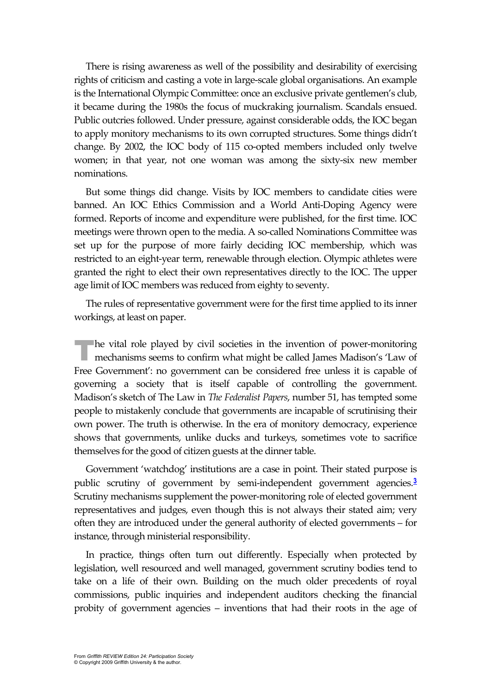There is rising awareness as well of the possibility and desirability of exercising rights of criticism and casting a vote in large-scale global organisations. An example is the International Olympic Committee: once an exclusive private gentlemen's club, it became during the 1980s the focus of muckraking journalism. Scandals ensued. Public outcries followed. Under pressure, against considerable odds, the IOC began to apply monitory mechanisms to its own corrupted structures. Some things didn't change. By 2002, the IOC body of 115 co-opted members included only twelve women; in that year, not one woman was among the sixty-six new member nominations.!!

But some things did change. Visits by IOC members to candidate cities were banned. An IOC Ethics Commission and a World Anti-Doping Agency were formed. Reports of income and expenditure were published, for the first time. IOC meetings were thrown open to the media. A so-called Nominations Committee was set up for the purpose of more fairly deciding IOC membership, which was restricted to an eight-year term, renewable through election. Olympic athletes were granted the right to elect their own representatives directly to the IOC. The upper age limit of IOC members was reduced from eighty to seventy.

The rules of representative government were for the first time applied to its inner workings, at least on paper.

In the vital role played by civil societies in the invention of power-monitoring mechanisms seems to confirm what might be called James Madison's 'Law of mechanisms seems to confirm what might be called James Madison's 'Law of Free Government': no government can be considered free unless it is capable of governing a society that is itself capable of controlling the government. Madison's sketch of The Law in *The Federalist Papers*, number 51, has tempted some people to mistakenly conclude that governments are incapable of scrutinising their own power. The truth is otherwise. In the era of monitory democracy, experience shows that governments, unlike ducks and turkeys, sometimes vote to sacrifice themselves for the good of citizen guests at the dinner table.

Government 'watchdog' institutions are a case in point. Their stated purpose is public scrutiny of government by semi-independent government agencies.<sup>[3](#page-22-0)</sup> Scrutiny mechanisms supplement the power-monitoring role of elected government representatives and judges, even though this is not always their stated aim; very often they are introduced under the general authority of elected governments – for instance, through ministerial responsibility.

In practice, things often turn out differently. Especially when protected by legislation, well resourced and well managed, government scrutiny bodies tend to take on a life of their own. Building on the much older precedents of royal commissions, public inquiries and independent auditors checking the financial probity of government agencies – inventions that had their roots in the age of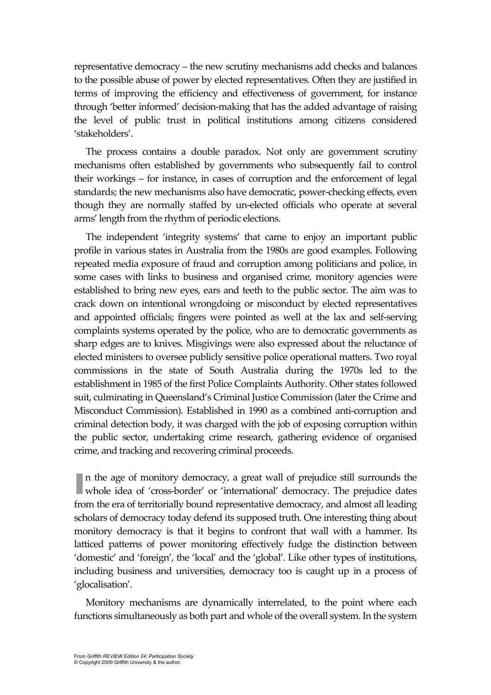representative democracy – the new scrutiny mechanisms add checks and balances to the possible abuse of power by elected representatives. Often they are justified in terms of improving the efficiency and effectiveness of government, for instance through 'better informed' decision-making that has the added advantage of raising the level of public trust in political institutions among citizens considered 'stakeholders'.

The process contains a double paradox. Not only are government scrutiny mechanisms often established by governments who subsequently fail to control their workings – for instance, in cases of corruption and the enforcement of legal standards; the new mechanisms also have democratic, power-checking effects, even though they are normally staffed by un-elected officials who operate at several arms' length from the rhythm of periodic elections.

The independent 'integrity systems' that came to enjoy an important public profile in various states in Australia from the 1980s are good examples. Following repeated media exposure of fraud and corruption among politicians and police, in some cases with links to business and organised crime, monitory agencies were established to bring new eyes, ears and teeth to the public sector. The aim was to crack down on intentional wrongdoing or misconduct by elected representatives and appointed officials; fingers were pointed as well at the lax and self-serving complaints systems operated by the police, who are to democratic governments as sharp edges are to knives. Misgivings were also expressed about the reluctance of elected ministers to oversee publicly sensitive police operational matters. Two royal commissions in the state of South Australia during the 1970s led to the establishment in 1985 of the first Police Complaints Authority. Other states followed suit, culminating in Queensland's Criminal Justice Commission (later the Crime and Misconduct Commission). Established in 1990 as a combined anti-corruption and criminal detection body, it was charged with the job of exposing corruption within the public sector, undertaking crime research, gathering evidence of organised crime, and tracking and recovering criminal proceeds.

In the age of monitory democracy, a great wall of prejudice still surrounds the whole idea of 'cross-border' or 'international' democracy. The prejudice dates whole idea of 'cross-border' or 'international' democracy. The prejudice dates from the era of territorially bound representative democracy, and almost all leading scholars of democracy today defend its supposed truth. One interesting thing about monitory democracy is that it begins to confront that wall with a hammer. Its latticed patterns of power monitoring effectively fudge the distinction between 'domestic' and 'foreign', the 'local' and the 'global'. Like other types of institutions, including business and universities, democracy too is caught up in a process of 'glocalisation'.

Monitory mechanisms are dynamically interrelated, to the point where each functions simultaneously as both part and whole of the overall system. In the system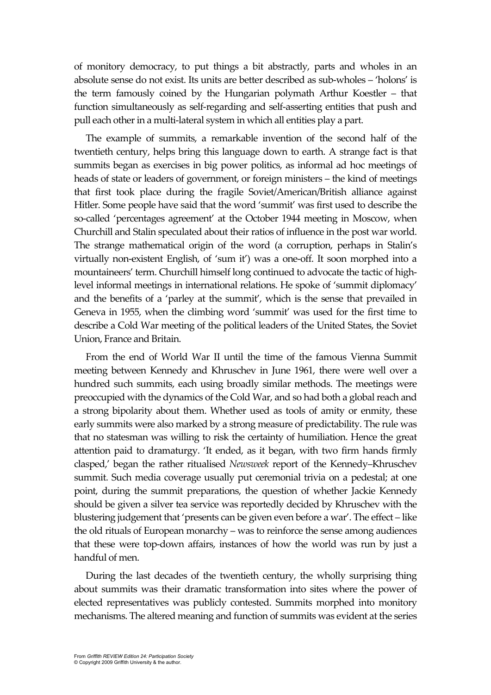of monitory democracy, to put things a bit abstractly, parts and wholes in an absolute sense do not exist. Its units are better described as sub-wholes - 'holons' is the term famously coined by the Hungarian polymath Arthur Koestler – that function simultaneously as self-regarding and self-asserting entities that push and pull each other in a multi-lateral system in which all entities play a part.

The example of summits, a remarkable invention of the second half of the twentieth century, helps bring this language down to earth. A strange fact is that summits began as exercises in big power politics, as informal ad hoc meetings of heads of state or leaders of government, or foreign ministers – the kind of meetings that first took place during the fragile Soviet/American/British alliance against Hitler. Some people have said that the word 'summit' was first used to describe the so-called 'percentages agreement' at the October 1944 meeting in Moscow, when Churchill and Stalin speculated about their ratios of influence in the post war world. The strange mathematical origin of the word (a corruption, perhaps in Stalin's virtually non-existent English, of 'sum it') was a one-off. It soon morphed into a mountaineers' term. Churchill himself long continued to advocate the tactic of highlevel informal meetings in international relations. He spoke of 'summit diplomacy' and the benefits of a 'parley at the summit', which is the sense that prevailed in Geneva in 1955, when the climbing word 'summit' was used for the first time to describe a Cold War meeting of the political leaders of the United States, the Soviet Union, France and Britain.!!

From the end of World War II until the time of the famous Vienna Summit meeting between Kennedy and Khruschev in June 1961, there were well over a hundred such summits, each using broadly similar methods. The meetings were preoccupied with the dynamics of the Cold War, and so had both a global reach and a strong bipolarity about them. Whether used as tools of amity or enmity, these early summits were also marked by a strong measure of predictability. The rule was that no statesman was willing to risk the certainty of humiliation. Hence the great attention paid to dramaturgy. 'It ended, as it began, with two firm hands firmly clasped,' began the rather ritualised *Newsweek* report of the Kennedy–Khruschev summit. Such media coverage usually put ceremonial trivia on a pedestal; at one point, during the summit preparations, the question of whether Jackie Kennedy should be given a silver tea service was reportedly decided by Khruschev with the blustering judgement that 'presents can be given even before a war'. The effect – like the old rituals of European monarchy – was to reinforce the sense among audiences that these were top-down affairs, instances of how the world was run by just a handful of men.

During the last decades of the twentieth century, the wholly surprising thing about summits was their dramatic transformation into sites where the power of elected representatives was publicly contested. Summits morphed into monitory mechanisms. The altered meaning and function of summits was evident at the series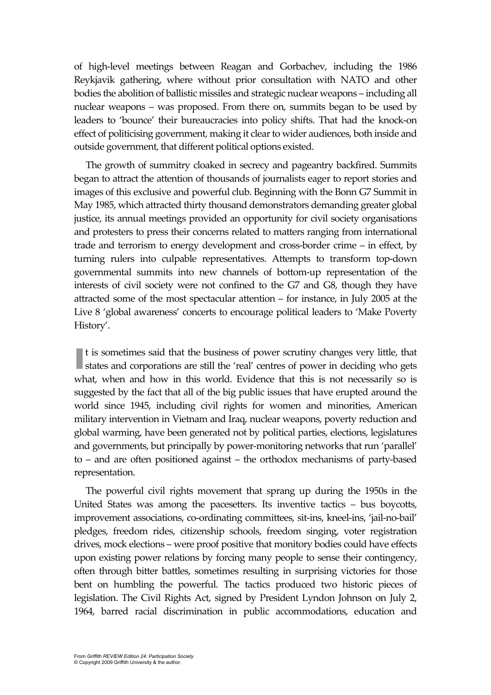of high"level meetings between Reagan and Gorbachev, including the 1986 Reykjavik gathering, where without prior consultation with NATO and other bodies the abolition of ballistic missiles and strategic nuclear weapons – including all nuclear weapons – was proposed. From there on, summits began to be used by leaders to 'bounce' their bureaucracies into policy shifts. That had the knock-on effect of politicising government, making it clear to wider audiences, both inside and outside government, that different political options existed.

The growth of summitry cloaked in secrecy and pageantry backfired. Summits began to attract the attention of thousands of journalists eager to report stories and images of this exclusive and powerful club. Beginning with the Bonn G7 Summit in May 1985, which attracted thirty thousand demonstrators demanding greater global justice, its annual meetings provided an opportunity for civil society organisations and protesters to press their concerns related to matters ranging from international trade and terrorism to energy development and cross-border crime  $-$  in effect, by turning rulers into culpable representatives. Attempts to transform top-down governmental summits into new channels of bottom-up representation of the interests of civil society were not confined to the G7 and G8, though they have attracted some of the most spectacular attention – for instance, in July 2005 at the Live 8 'global awareness' concerts to encourage political leaders to 'Make Poverty History'.

t is sometimes said that the business of power scrutiny changes very little, that It is sometimes said that the business of power scrutiny changes very little, that states and corporations are still the 'real' centres of power in deciding who gets what, when and how in this world. Evidence that this is not necessarily so is suggested by the fact that all of the big public issues that have erupted around the world since 1945, including civil rights for women and minorities, American military intervention in Vietnam and Iraq, nuclear weapons, poverty reduction and global warming, have been generated not by political parties, elections, legislatures and governments, but principally by power-monitoring networks that run 'parallel'  $to$  – and are often positioned against – the orthodox mechanisms of party-based representation.

The powerful civil rights movement that sprang up during the 1950s in the United States was among the pacesetters. Its inventive tactics – bus boycotts, improvement associations, co-ordinating committees, sit-ins, kneel-ins, 'jail-no-bail' pledges, freedom rides, citizenship schools, freedom singing, voter registration drives, mock elections – were proof positive that monitory bodies could have effects upon existing power relations by forcing many people to sense their contingency, often through bitter battles, sometimes resulting in surprising victories for those bent on humbling the powerful. The tactics produced two historic pieces of legislation. The Civil Rights Act, signed by President Lyndon Johnson on July 2, 1964, barred racial discrimination in public accommodations, education and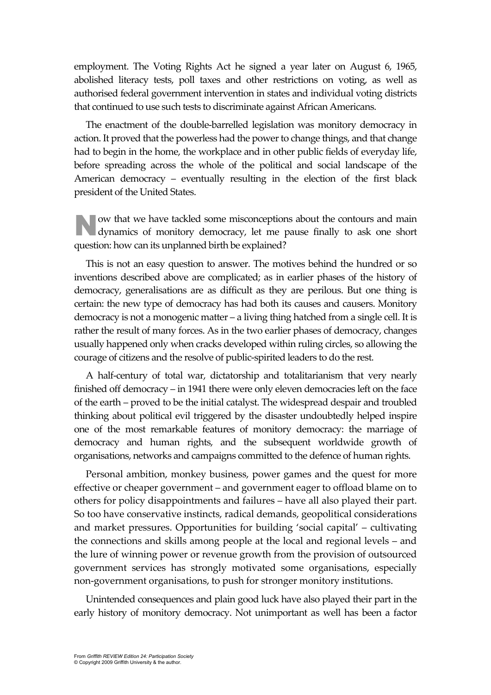employment. The Voting Rights Act he signed a year later on August 6, 1965, abolished literacy tests, poll taxes and other restrictions on voting, as well as authorised federal government intervention in states and individual voting districts that continued to use such tests to discriminate against African Americans.!!

The enactment of the double-barrelled legislation was monitory democracy in action. It proved that the powerless had the power to change things, and that change had to begin in the home, the workplace and in other public fields of everyday life, before spreading across the whole of the political and social landscape of the American democracy – eventually resulting in the election of the first black president of the United States.

ow that we have tackled some misconceptions about the contours and main dynamics of monitory democracy, let me pause finally to ask one short dynamics of monitory democracy, let me pause finally to ask one short question: how can its unplanned birth be explained?

This is not an easy question to answer. The motives behind the hundred or so inventions described above are complicated; as in earlier phases of the history of democracy, generalisations are as difficult as they are perilous. But one thing is certain: the new type of democracy has had both its causes and causers. Monitory democracy is not a monogenic matter – a living thing hatched from a single cell. It is rather the result of many forces. As in the two earlier phases of democracy, changes usually happened only when cracks developed within ruling circles, so allowing the courage of citizens and the resolve of public-spirited leaders to do the rest.

A half-century of total war, dictatorship and totalitarianism that very nearly finished off democracy – in 1941 there were only eleven democracies left on the face of the earth – proved to be the initial catalyst. The widespread despair and troubled thinking about political evil triggered by the disaster undoubtedly helped inspire one of the most remarkable features of monitory democracy: the marriage of democracy and human rights, and the subsequent worldwide growth of organisations, networks and campaigns committed to the defence of human rights.!!

Personal ambition, monkey business, power games and the quest for more effective or cheaper government – and government eager to offload blame on to others for policy disappointments and failures – have all also played their part. So too have conservative instincts, radical demands, geopolitical considerations and market pressures. Opportunities for building 'social capital' – cultivating the connections and skills among people at the local and regional levels – and the lure of winning power or revenue growth from the provision of outsourced government services has strongly motivated some organisations, especially non-government organisations, to push for stronger monitory institutions.

Unintended consequences and plain good luck have also played their part in the early history of monitory democracy. Not unimportant as well has been a factor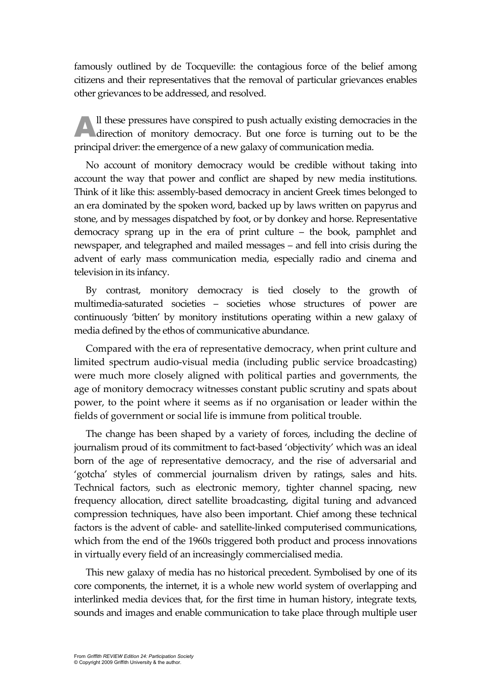famously outlined by de Tocqueville: the contagious force of the belief among citizens and their representatives that the removal of particular grievances enables other grievances to be addressed, and resolved.!!

ll these pressures have conspired to push actually existing democracies in the All these pressures have conspired to push actually existing democracies in the direction of monitory democracy. But one force is turning out to be the principal driver: the emergence of a new galaxy of communication media.

No account of monitory democracy would be credible without taking into account the way that power and conflict are shaped by new media institutions. Think of it like this: assembly-based democracy in ancient Greek times belonged to an era dominated by the spoken word, backed up by laws written on papyrus and stone, and by messages dispatched by foot, or by donkey and horse. Representative democracy sprang up in the era of print culture – the book, pamphlet and newspaper, and telegraphed and mailed messages – and fell into crisis during the advent of early mass communication media, especially radio and cinema and television in its infancy.

By contrast, monitory democracy is tied closely to the growth of multimedia-saturated societies – societies whose structures of power are continuously 'bitten' by monitory institutions operating within a new galaxy of media defined by the ethos of communicative abundance.

Compared with the era of representative democracy, when print culture and limited spectrum audio-visual media (including public service broadcasting) were much more closely aligned with political parties and governments, the age of monitory democracy witnesses constant public scrutiny and spats about power, to the point where it seems as if no organisation or leader within the fields of government or social life is immune from political trouble.

The change has been shaped by a variety of forces, including the decline of journalism proud of its commitment to fact-based 'objectivity' which was an ideal born of the age of representative democracy, and the rise of adversarial and 'gotcha' styles of commercial journalism driven by ratings, sales and hits. Technical factors, such as electronic memory, tighter channel spacing, new frequency allocation, direct satellite broadcasting, digital tuning and advanced compression techniques, have also been important. Chief among these technical factors is the advent of cable- and satellite-linked computerised communications, which from the end of the 1960s triggered both product and process innovations in virtually every field of an increasingly commercialised media.

This new galaxy of media has no historical precedent. Symbolised by one of its core components, the internet, it is a whole new world system of overlapping and interlinked media devices that, for the first time in human history, integrate texts, sounds and images and enable communication to take place through multiple user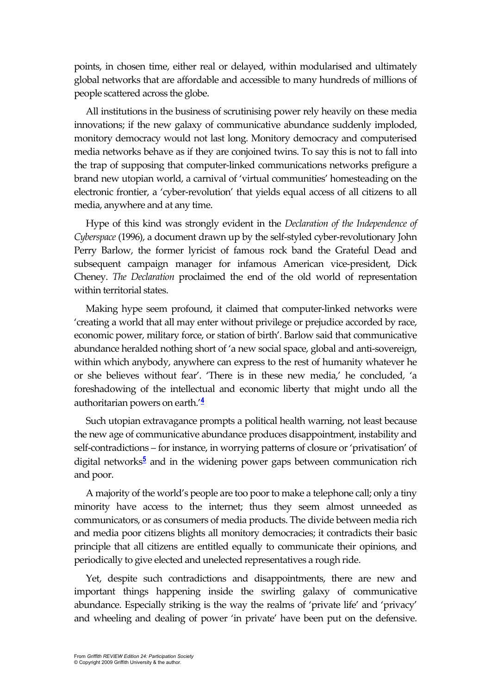points, in chosen time, either real or delayed, within modularised and ultimately global networks that are affordable and accessible to many hundreds of millions of people scattered across the globe.

All institutions in the business of scrutinising power rely heavily on these media innovations; if the new galaxy of communicative abundance suddenly imploded, monitory democracy would not last long. Monitory democracy and computerised media networks behave as if they are conjoined twins. To say this is not to fall into the trap of supposing that computer-linked communications networks prefigure a brand new utopian world, a carnival of 'virtual communities' homesteading on the electronic frontier, a 'cyber-revolution' that yields equal access of all citizens to all media, anywhere and at any time.

Hype of this kind was strongly evident in the *Declaration of the Independence of Cyberspace* (1996), a document drawn up by the self-styled cyber-revolutionary John Perry Barlow, the former lyricist of famous rock band the Grateful Dead and subsequent campaign manager for infamous American vice-president, Dick Cheney. *The Declaration* proclaimed the end of the old world of representation within territorial states.

Making hype seem profound, it claimed that computer-linked networks were 'creating a world that all may enter without privilege or prejudice accorded by race, economic power, military force, or station of birth'. Barlow said that communicative abundance heralded nothing short of 'a new social space, global and anti-sovereign, within which anybody, anywhere can express to the rest of humanity whatever he or she believes without fear'. 'There is in these new media,' he concluded, 'a foreshadowing of the intellectual and economic liberty that might undo all the authoritarian powers on earth.'**[4](#page-22-2)**!!

Such utopian extravagance prompts a political health warning, not least because the new age of communicative abundance produces disappointment, instability and self-contradictions – for instance, in worrying patterns of closure or 'privatisation' of digital networks**[5](#page-22-1)** and in the widening power gaps between communication rich and poor.

A majority of the world's people are too poor to make a telephone call; only a tiny minority have access to the internet; thus they seem almost unneeded as communicators, or as consumers of media products. The divide between media rich and media poor citizens blights all monitory democracies; it contradicts their basic principle that all citizens are entitled equally to communicate their opinions, and periodically to give elected and unelected representatives a rough ride.

Yet, despite such contradictions and disappointments, there are new and important things happening inside the swirling galaxy of communicative abundance. Especially striking is the way the realms of 'private life' and 'privacy' and wheeling and dealing of power 'in private' have been put on the defensive.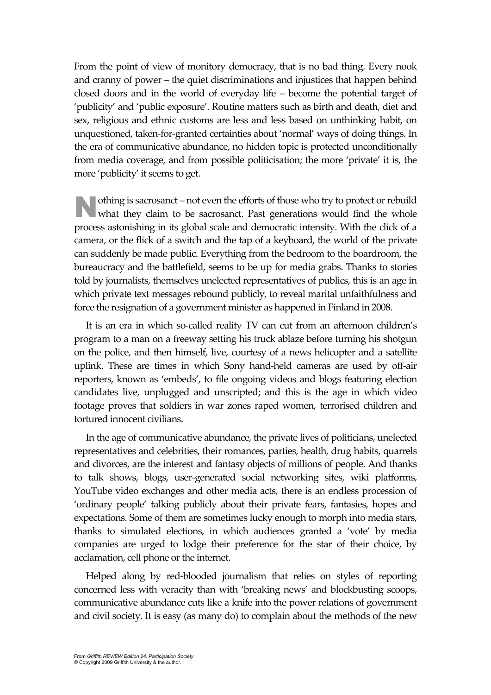From the point of view of monitory democracy, that is no bad thing. Every nook and cranny of power – the quiet discriminations and injustices that happen behind closed doors and in the world of everyday life – become the potential target of 'publicity' and 'public exposure'. Routine matters such as birth and death, diet and sex, religious and ethnic customs are less and less based on unthinking habit, on unquestioned, taken-for-granted certainties about 'normal' ways of doing things. In the era of communicative abundance, no hidden topic is protected unconditionally from media coverage, and from possible politicisation; the more 'private' it is, the more 'publicity' it seems to get.

othing is sacrosanct – not even the efforts of those who try to protect or rebuild what they claim to be sacrosanct. Past generations would find the whole what they claim to be sacrosanct. Past generations would find the whole process astonishing in its global scale and democratic intensity. With the click of a camera, or the flick of a switch and the tap of a keyboard, the world of the private can suddenly be made public. Everything from the bedroom to the boardroom, the bureaucracy and the battlefield, seems to be up for media grabs. Thanks to stories told by journalists, themselves unelected representatives of publics, this is an age in which private text messages rebound publicly, to reveal marital unfaithfulness and force the resignation of a government minister as happened in Finland in 2008.

It is an era in which so-called reality TV can cut from an afternoon children's program to a man on a freeway setting his truck ablaze before turning his shotgun on the police, and then himself, live, courtesy of a news helicopter and a satellite uplink. These are times in which Sony hand-held cameras are used by off-air reporters, known as 'embeds', to file ongoing videos and blogs featuring election candidates live, unplugged and unscripted; and this is the age in which video footage proves that soldiers in war zones raped women, terrorised children and tortured innocent civilians.

In the age of communicative abundance, the private lives of politicians, unelected representatives and celebrities, their romances, parties, health, drug habits, quarrels and divorces, are the interest and fantasy objects of millions of people. And thanks to talk shows, blogs, user-generated social networking sites, wiki platforms, YouTube video exchanges and other media acts, there is an endless procession of 'ordinary people' talking publicly about their private fears, fantasies, hopes and expectations. Some of them are sometimes lucky enough to morph into media stars, thanks to simulated elections, in which audiences granted a 'vote' by media companies are urged to lodge their preference for the star of their choice, by acclamation, cell phone or the internet.

Helped along by red-blooded journalism that relies on styles of reporting concerned less with veracity than with 'breaking news' and blockbusting scoops, communicative abundance cuts like a knife into the power relations of government and civil society. It is easy (as many do) to complain about the methods of the new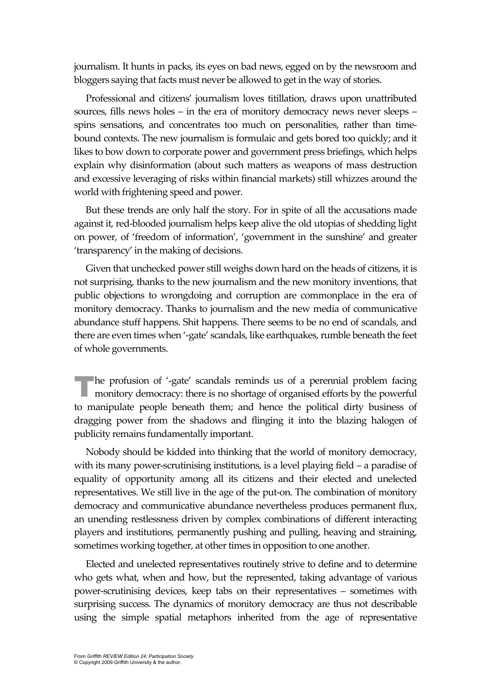journalism. It hunts in packs, its eyes on bad news, egged on by the newsroom and bloggers saying that facts must never be allowed to get in the way of stories.!!

Professional and citizens' journalism loves titillation, draws upon unattributed sources, fills news holes – in the era of monitory democracy news never sleeps – spins sensations, and concentrates too much on personalities, rather than timebound contexts. The new journalism is formulaic and gets bored too quickly; and it likes to bow down to corporate power and government press briefings, which helps explain why disinformation (about such matters as weapons of mass destruction and excessive leveraging of risks within financial markets) still whizzes around the world with frightening speed and power.

But these trends are only half the story. For in spite of all the accusations made against it, red-blooded journalism helps keep alive the old utopias of shedding light on power, of 'freedom of information', 'government in the sunshine' and greater 'transparency' in the making of decisions.!!

Given that unchecked power still weighs down hard on the heads of citizens, it is not surprising, thanks to the new journalism and the new monitory inventions, that public objections to wrongdoing and corruption are commonplace in the era of monitory democracy. Thanks to journalism and the new media of communicative abundance stuff happens. Shit happens. There seems to be no end of scandals, and there are even times when '-gate' scandals, like earthquakes, rumble beneath the feet of whole governments.

The profusion of '-gate' scandals reminds us of a perennial problem facing monitory democracy: there is no shortage of organised efforts by the powerful monitory democracy: there is no shortage of organised efforts by the powerful to manipulate people beneath them; and hence the political dirty business of dragging power from the shadows and flinging it into the blazing halogen of publicity remains fundamentally important.

Nobody should be kidded into thinking that the world of monitory democracy, with its many power-scrutinising institutions, is a level playing field  $-$  a paradise of equality of opportunity among all its citizens and their elected and unelected representatives. We still live in the age of the put-on. The combination of monitory democracy and communicative abundance nevertheless produces permanent flux, an unending restlessness driven by complex combinations of different interacting players and institutions, permanently pushing and pulling, heaving and straining, sometimes working together, at other times in opposition to one another.

Elected and unelected representatives routinely strive to define and to determine who gets what, when and how, but the represented, taking advantage of various power-scrutinising devices, keep tabs on their representatives – sometimes with surprising success. The dynamics of monitory democracy are thus not describable using the simple spatial metaphors inherited from the age of representative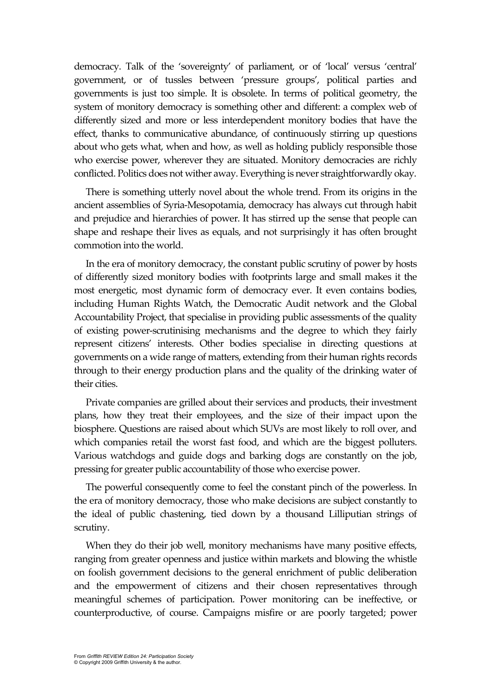democracy. Talk of the 'sovereignty' of parliament, or of 'local' versus 'central' government, or of tussles between 'pressure groups', political parties and governments is just too simple. It is obsolete. In terms of political geometry, the system of monitory democracy is something other and different: a complex web of differently sized and more or less interdependent monitory bodies that have the effect, thanks to communicative abundance, of continuously stirring up questions about who gets what, when and how, as well as holding publicly responsible those who exercise power, wherever they are situated. Monitory democracies are richly conflicted. Politics does not wither away. Everything is never straightforwardly okay.

There is something utterly novel about the whole trend. From its origins in the ancient assemblies of Syria-Mesopotamia, democracy has always cut through habit and prejudice and hierarchies of power. It has stirred up the sense that people can shape and reshape their lives as equals, and not surprisingly it has often brought commotion into the world.

In the era of monitory democracy, the constant public scrutiny of power by hosts of differently sized monitory bodies with footprints large and small makes it the most energetic, most dynamic form of democracy ever. It even contains bodies, including Human Rights Watch, the Democratic Audit network and the Global Accountability Project, that specialise in providing public assessments of the quality of existing power-scrutinising mechanisms and the degree to which they fairly represent citizens' interests. Other bodies specialise in directing questions at governments on a wide range of matters, extending from their human rights records through to their energy production plans and the quality of the drinking water of their cities.

Private companies are grilled about their services and products, their investment plans, how they treat their employees, and the size of their impact upon the biosphere. Questions are raised about which SUVs are most likely to roll over, and which companies retail the worst fast food, and which are the biggest polluters. Various watchdogs and guide dogs and barking dogs are constantly on the job, pressing for greater public accountability of those who exercise power.!!

The powerful consequently come to feel the constant pinch of the powerless. In the era of monitory democracy, those who make decisions are subject constantly to the ideal of public chastening, tied down by a thousand Lilliputian strings of scrutiny.

When they do their job well, monitory mechanisms have many positive effects, ranging from greater openness and justice within markets and blowing the whistle on foolish government decisions to the general enrichment of public deliberation and the empowerment of citizens and their chosen representatives through meaningful schemes of participation. Power monitoring can be ineffective, or counterproductive, of course. Campaigns misfire or are poorly targeted; power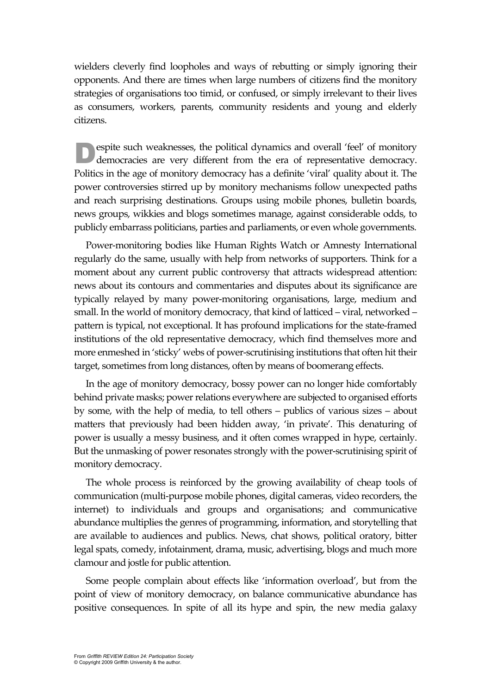wielders cleverly find loopholes and ways of rebutting or simply ignoring their opponents. And there are times when large numbers of citizens find the monitory strategies of organisations too timid, or confused, or simply irrelevant to their lives as consumers, workers, parents, community residents and young and elderly citizens.

espite such weaknesses, the political dynamics and overall 'feel' of monitory democracies are very different from the era of representative democracy. Politics in the age of monitory democracy has a definite 'viral' quality about it. The power controversies stirred up by monitory mechanisms follow unexpected paths and reach surprising destinations. Groups using mobile phones, bulletin boards, news groups, wikkies and blogs sometimes manage, against considerable odds, to publicly embarrass politicians, parties and parliaments, or even whole governments. D

Power-monitoring bodies like Human Rights Watch or Amnesty International regularly do the same, usually with help from networks of supporters. Think for a moment about any current public controversy that attracts widespread attention: news about its contours and commentaries and disputes about its significance are typically relayed by many power-monitoring organisations, large, medium and small. In the world of monitory democracy, that kind of latticed – viral, networked – pattern is typical, not exceptional. It has profound implications for the state-framed institutions of the old representative democracy, which find themselves more and more enmeshed in 'sticky' webs of power-scrutinising institutions that often hit their target, sometimes from long distances, often by means of boomerang effects.

In the age of monitory democracy, bossy power can no longer hide comfortably behind private masks; power relations everywhere are subjected to organised efforts by some, with the help of media, to tell others – publics of various sizes – about matters that previously had been hidden away, 'in private'. This denaturing of power is usually a messy business, and it often comes wrapped in hype, certainly. But the unmasking of power resonates strongly with the power-scrutinising spirit of monitory democracy.

The whole process is reinforced by the growing availability of cheap tools of communication (multi-purpose mobile phones, digital cameras, video recorders, the internet) to individuals and groups and organisations; and communicative abundance multiplies the genres of programming, information, and storytelling that are available to audiences and publics. News, chat shows, political oratory, bitter legal spats, comedy, infotainment, drama, music, advertising, blogs and much more clamour and jostle for public attention.

Some people complain about effects like 'information overload', but from the point of view of monitory democracy, on balance communicative abundance has positive consequences. In spite of all its hype and spin, the new media galaxy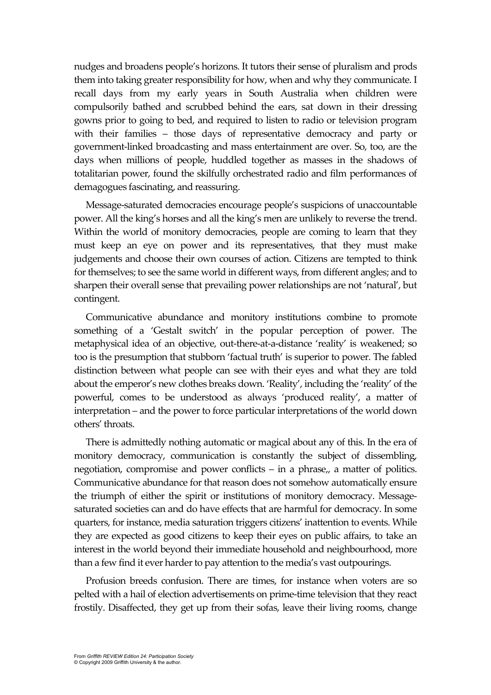nudges and broadens people's horizons. It tutors their sense of pluralism and prods them into taking greater responsibility for how, when and why they communicate. I recall days from my early years in South Australia when children were compulsorily bathed and scrubbed behind the ears, sat down in their dressing gowns prior to going to bed, and required to listen to radio or television program with their families – those days of representative democracy and party or government-linked broadcasting and mass entertainment are over. So, too, are the days when millions of people, huddled together as masses in the shadows of totalitarian power, found the skilfully orchestrated radio and film performances of demagogues fascinating, and reassuring.

Message-saturated democracies encourage people's suspicions of unaccountable power. All the king's horses and all the king's men are unlikely to reverse the trend. Within the world of monitory democracies, people are coming to learn that they must keep an eye on power and its representatives, that they must make judgements and choose their own courses of action. Citizens are tempted to think for themselves; to see the same world in different ways, from different angles; and to sharpen their overall sense that prevailing power relationships are not 'natural', but contingent.

Communicative abundance and monitory institutions combine to promote something of a 'Gestalt switch' in the popular perception of power. The metaphysical idea of an objective, out-there-at-a-distance 'reality' is weakened; so too is the presumption that stubborn 'factual truth' is superior to power. The fabled distinction between what people can see with their eyes and what they are told about the emperor's new clothes breaks down. 'Reality', including the 'reality' of the powerful, comes to be understood as always 'produced reality', a matter of interpretation – and the power to force particular interpretations of the world down others' throats.!!

There is admittedly nothing automatic or magical about any of this. In the era of monitory democracy, communication is constantly the subject of dissembling, negotiation, compromise and power conflicts – in a phrase,, a matter of politics. Communicative abundance for that reason does not somehow automatically ensure the triumph of either the spirit or institutions of monitory democracy. Messagesaturated societies can and do have effects that are harmful for democracy. In some quarters, for instance, media saturation triggers citizens' inattention to events. While they are expected as good citizens to keep their eyes on public affairs, to take an interest in the world beyond their immediate household and neighbourhood, more than a few find it ever harder to pay attention to the media's vast outpourings.

Profusion breeds confusion. There are times, for instance when voters are so pelted with a hail of election advertisements on prime-time television that they react frostily. Disaffected, they get up from their sofas, leave their living rooms, change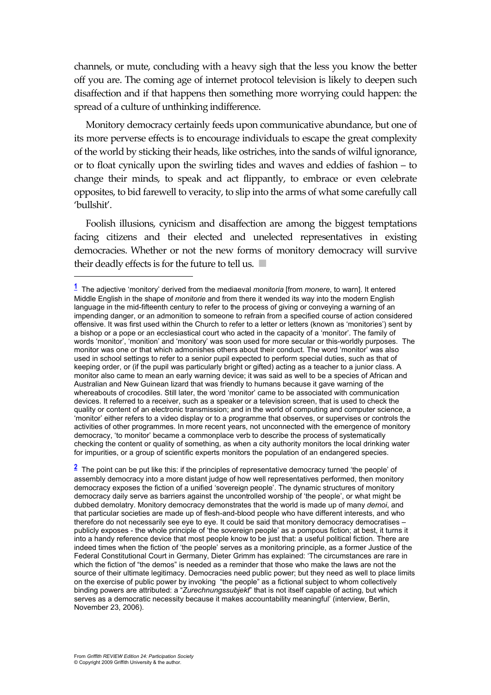channels, or mute, concluding with a heavy sigh that the less you know the better off you are. The coming age of internet protocol television is likely to deepen such disaffection and if that happens then something more worrying could happen: the spread of a culture of unthinking indifference.

Monitory democracy certainly feeds upon communicative abundance, but one of its more perverse effects is to encourage individuals to escape the great complexity of the world by sticking their heads, like ostriches, into the sands of wilful ignorance, or to float cynically upon the swirling tides and waves and eddies of fashion – to change their minds, to speak and act flippantly, to embrace or even celebrate opposites, to bid farewell to veracity, to slip into the arms of what some carefully call 'bullshit'.

Foolish illusions, cynicism and disaffection are among the biggest temptations facing citizens and their elected and unelected representatives in existing democracies. Whether or not the new forms of monitory democracy will survive their deadly effects is for the future to tell us.  $\blacksquare$ 

<span id="page-21-1"></span><sup>2</sup> The point can be put like this: if the principles of representative democracy turned 'the people' of assembly democracy into a more distant judge of how well representatives performed, then monitory democracy exposes the fiction of a unified 'sovereign people'. The dynamic structures of monitory democracy daily serve as barriers against the uncontrolled worship of 'the people', or what might be dubbed demolatry. Monitory democracy demonstrates that the world is made up of many *demoi*, and that particular societies are made up of flesh-and-blood people who have different interests, and who therefore do not necessarily see eye to eye. It could be said that monitory democracy democratises – publicly exposes - the whole principle of 'the sovereign people' as a pompous fiction; at best, it turns it into a handy reference device that most people know to be just that: a useful political fiction. There are indeed times when the fiction of 'the people' serves as a monitoring principle, as a former Justice of the Federal Constitutional Court in Germany, Dieter Grimm has explained: 'The circumstances are rare in which the fiction of "the demos" is needed as a reminder that those who make the laws are not the source of their ultimate legitimacy. Democracies need public power; but they need as well to place limits on the exercise of public power by invoking "the people" as a fictional subject to whom collectively binding powers are attributed: a "*Zurechnungssubjekt*" that is not itself capable of acting, but which serves as a democratic necessity because it makes accountability meaningful' (interview, Berlin, November 23, 2006).

 $\overline{a}$ 

<span id="page-21-0"></span>**<sup>1</sup>** The adjective 'monitory' derived from the mediaeval *monitoria* [from *monere*, to warn]. It entered Middle English in the shape of *monitorie* and from there it wended its way into the modern English language in the mid-fifteenth century to refer to the process of giving or conveying a warning of an impending danger, or an admonition to someone to refrain from a specified course of action considered offensive. It was first used within the Church to refer to a letter or letters (known as 'monitories') sent by a bishop or a pope or an ecclesiastical court who acted in the capacity of a 'monitor'. The family of words 'monitor', 'monition' and 'monitory' was soon used for more secular or this-worldly purposes. The monitor was one or that which admonishes others about their conduct. The word 'monitor' was also used in school settings to refer to a senior pupil expected to perform special duties, such as that of keeping order, or (if the pupil was particularly bright or gifted) acting as a teacher to a junior class. A monitor also came to mean an early warning device; it was said as well to be a species of African and Australian and New Guinean lizard that was friendly to humans because it gave warning of the whereabouts of crocodiles. Still later, the word 'monitor' came to be associated with communication devices. It referred to a receiver, such as a speaker or a television screen, that is used to check the quality or content of an electronic transmission; and in the world of computing and computer science, a 'monitor' either refers to a video display or to a programme that observes, or supervises or controls the activities of other programmes. In more recent years, not unconnected with the emergence of monitory democracy, 'to monitor' became a commonplace verb to describe the process of systematically checking the content or quality of something, as when a city authority monitors the local drinking water for impurities, or a group of scientific experts monitors the population of an endangered species.